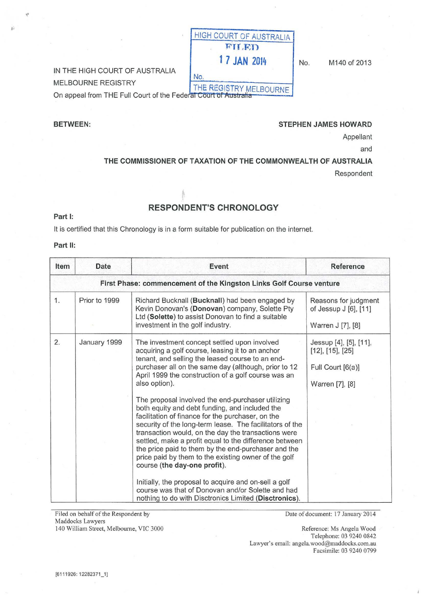# IN THE HIGH COURT OF AUSTRALIA

MELBOURNE REGISTRY

THE REGISTRY MELBOURNE<br>On appeal from THE Full Court of the Federal Court of Australia

## BETWEEN: BETWEEN:

1 7 JAN 2014 No. M140 of 2013

Appellant

and

### THE COMMISSIONER OF TAXATION OF THE COMMONWEALTH OF AUSTRALIA

HIGH COURT OF AUSTRALIA FILED.

Respondent

# RESPONDENT'S CHRONOLOGY

No.

#### Part 1:

It is certified that this Chronology is in a form suitable for publication on the internet.

#### Part II:

| Item | Date          | Event                                                                                                                                                                                                                                                                                                                                                                                                                                                                                | Reference                                                                                  |
|------|---------------|--------------------------------------------------------------------------------------------------------------------------------------------------------------------------------------------------------------------------------------------------------------------------------------------------------------------------------------------------------------------------------------------------------------------------------------------------------------------------------------|--------------------------------------------------------------------------------------------|
|      |               | First Phase: commencement of the Kingston Links Golf Course venture                                                                                                                                                                                                                                                                                                                                                                                                                  |                                                                                            |
| 1.   | Prior to 1999 | Richard Bucknall (Bucknall) had been engaged by<br>Kevin Donovan's (Donovan) company, Solette Pty<br>Ltd (Solette) to assist Donovan to find a suitable<br>investment in the golf industry.                                                                                                                                                                                                                                                                                          | Reasons for judgment<br>of Jessup J [6], [11]<br>Warren J [7], [8]                         |
| 2.   | January 1999  | The investment concept settled upon involved<br>acquiring a golf course, leasing it to an anchor<br>tenant, and selling the leased course to an end-<br>purchaser all on the same day (although, prior to 12<br>April 1999 the construction of a golf course was an<br>also option).                                                                                                                                                                                                 | Jessup [4], [5], [11],<br>$[12]$ , $[15]$ , $[25]$<br>Full Court [6(a)]<br>Warren [7], [8] |
|      |               | The proposal involved the end-purchaser utilizing<br>both equity and debt funding, and included the<br>facilitation of finance for the purchaser, on the<br>security of the long-term lease. The facilitators of the<br>transaction would, on the day the transactions were<br>settled, make a profit equal to the difference between<br>the price paid to them by the end-purchaser and the<br>price paid by them to the existing owner of the golf<br>course (the day-one profit). |                                                                                            |
|      |               | Initially, the proposal to acquire and on-sell a golf<br>course was that of Donovan and/or Solette and had<br>nothing to do with Disctronics Limited (Disctronics).                                                                                                                                                                                                                                                                                                                  |                                                                                            |

Filed on behalf of the Respondent by Maddocks Lawyers 140 William Street, Melbourne, VIC 3000 Date of document: 17 January 2014

Reference: Ms Angela Wood Telephone: 03 9240 0842 Lawyer's email: angela.wood@maddocks.com.au Facsimile: 03 9240 0799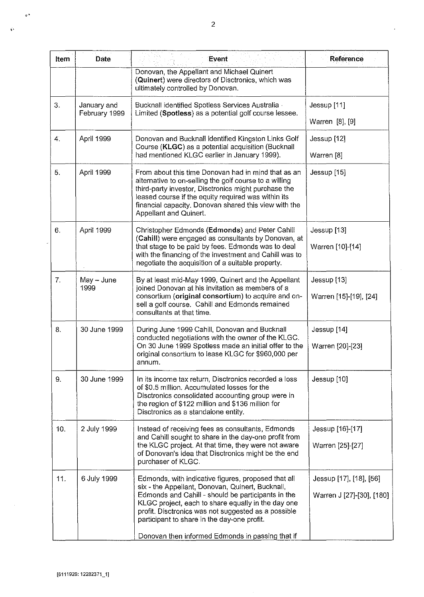| Item             | <b>Date</b>                  | Event                                                                                                                                                                                                                                                                                                           | <b>Reference</b>          |
|------------------|------------------------------|-----------------------------------------------------------------------------------------------------------------------------------------------------------------------------------------------------------------------------------------------------------------------------------------------------------------|---------------------------|
|                  |                              | Donovan, the Appellant and Michael Quinert<br>(Quinert) were directors of Disctronics, which was<br>ultimately controlled by Donovan.                                                                                                                                                                           |                           |
| 3.               | January and<br>February 1999 | Bucknall identified Spotless Services Australia -<br>Limited (Spotless) as a potential golf course lessee.                                                                                                                                                                                                      | Jessup [11]               |
|                  |                              |                                                                                                                                                                                                                                                                                                                 | Warren [8], [9]           |
| $\overline{4}$ . | April 1999                   | Donovan and Bucknall identified Kingston Links Golf<br>Course (KLGC) as a potential acquisition (Bucknall                                                                                                                                                                                                       | Jessup [12]               |
|                  |                              | had mentioned KLGC earlier in January 1999).                                                                                                                                                                                                                                                                    | Warren [8]                |
| 5.               | April 1999                   | From about this time Donovan had in mind that as an<br>alternative to on-selling the golf course to a willing<br>third-party investor, Disctronics might purchase the<br>leased course if the equity required was within its<br>financial capacity. Donovan shared this view with the<br>Appellant and Quinert. | Jessup [15]               |
| 6.               | April 1999                   | Christopher Edmonds (Edmonds) and Peter Cahill<br>(Cahill) were engaged as consultants by Donovan, at                                                                                                                                                                                                           | Jessup [13]               |
|                  |                              | that stage to be paid by fees. Edmonds was to deal<br>with the financing of the investment and Cahill was to<br>negotiate the acquisition of a suitable property.                                                                                                                                               | Warren [10]-[14]          |
| 7.               | May - June<br>1999           | By at least mid-May 1999, Quinert and the Appellant<br>joined Donovan at his invitation as members of a                                                                                                                                                                                                         | Jessup [13]               |
|                  |                              | consortium (original consortium) to acquire and on-<br>sell a golf course. Cahill and Edmonds remained<br>consultants at that time.                                                                                                                                                                             | Warren [15]-[19], [24]    |
| 8.               | 30 June 1999                 | During June 1999 Cahill, Donovan and Bucknall<br>conducted negotiations with the owner of the KLGC.                                                                                                                                                                                                             | Jessup [14]               |
|                  |                              | On 30 June 1999 Spotless made an initial offer to the<br>original consortium to lease KLGC for \$960,000 per<br>annum.                                                                                                                                                                                          | Warren [20]-[23]          |
| 9.               | 30 June 1999                 | In its income tax return, Disctronics recorded a loss<br>of \$0.5 million. Accumulated losses for the<br>Disctronics consolidated accounting group were in<br>the region of \$122 million and \$136 million for<br>Disctronics as a standalone entity.                                                          | Jessup [10]               |
| 10.              | 2 July 1999                  | Instead of receiving fees as consultants, Edmonds<br>and Cahill sought to share in the day-one profit from                                                                                                                                                                                                      | Jessup [16]-[17]          |
|                  |                              | the KLGC project. At that time, they were not aware<br>of Donovan's idea that Disctronics might be the end<br>purchaser of KLGC.                                                                                                                                                                                | Warren [25]-[27]          |
| 11.              | 6 July 1999                  | Edmonds, with indicative figures, proposed that all<br>six - the Appellant, Donovan, Quinert, Bucknall,                                                                                                                                                                                                         | Jessup [17], [18], [56]   |
|                  |                              | Edmonds and Cahill - should be participants in the<br>KLGC project, each to share equally in the day one<br>profit. Disctronics was not suggested as a possible<br>participant to share in the day-one profit.                                                                                                  | Warren J [27]-[30], [180] |
|                  |                              | Donovan then informed Edmonds in passing that if                                                                                                                                                                                                                                                                |                           |

 $\ddot{\phantom{a}}$ 

 $\phi^*$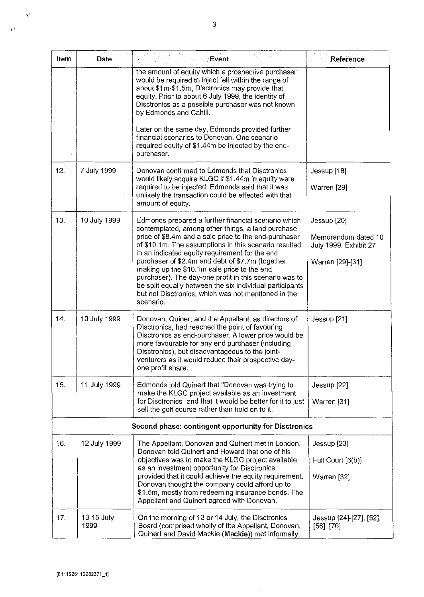| Item | Date               | <b>Event</b>                                                                                                                                                                                                                                                                                                                                      | Reference                                    |
|------|--------------------|---------------------------------------------------------------------------------------------------------------------------------------------------------------------------------------------------------------------------------------------------------------------------------------------------------------------------------------------------|----------------------------------------------|
|      |                    | the amount of equity which a prospective purchaser<br>would be required to inject fell within the range of<br>about \$1m-\$1.5m, Disctronics may provide that<br>equity. Prior to about 6 July 1999, the identity of<br>Disctronics as a possible purchaser was not known<br>by Edmonds and Cahill.                                               |                                              |
|      |                    | Later on the same day, Edmonds provided further<br>financial scenarios to Donovan. One scenario<br>required equity of \$1.44m be injected by the end-<br>purchaser.                                                                                                                                                                               |                                              |
| 12.  | 7 July 1999        | Donovan confirmed to Edmonds that Disctronics<br>would likely acquire KLGC if \$1.44m in equity were                                                                                                                                                                                                                                              | Jessup [18]                                  |
|      |                    | required to be injected. Edmonds said that it was<br>unlikely the transaction could be effected with that<br>amount of equity.                                                                                                                                                                                                                    | Warren [29]                                  |
| 13.  | 10 July 1999       | Edmonds prepared a further financial scenario which<br>contemplated, among other things, a land purchase                                                                                                                                                                                                                                          | Jessup [20]                                  |
|      |                    | price of \$8.4m and a sale price to the end-purchaser<br>of \$10.1m. The assumptions in this scenario resulted<br>in an indicated equity requirement for the end                                                                                                                                                                                  | Memorandum dated 10<br>July 1999, Exhibit 27 |
|      |                    | purchaser of \$2.4m and debt of \$7.7m (together<br>making up the \$10.1m sale price to the end<br>purchaser). The day-one profit in this scenario was to<br>be split equally between the six individual participants<br>but not Disctronics, which was not mentioned in the<br>scenario.                                                         | Warren [29]-[31]                             |
| 14.  | 10 July 1999       | Donovan, Quinert and the Appellant, as directors of<br>Disctronics, had reached the point of favouring<br>Disctronics as end-purchaser. A lower price would be<br>more favourable for any end purchaser (including<br>Disctronics), but disadvantageous to the joint-<br>venturers as it would reduce their prospective day-<br>one profit share. | Jessup [21]                                  |
| 15.  | 11 July 1999       | Edmonds told Quinert that "Donovan was trying to<br>make the KLGC project available as an investment                                                                                                                                                                                                                                              | Jessup [22]                                  |
|      |                    | for Disctronics" and that it would be better for it to just<br>sell the golf course rather than hold on to it.                                                                                                                                                                                                                                    | Warren [31]                                  |
|      |                    | Second phase: contingent opportunity for Disctronics                                                                                                                                                                                                                                                                                              |                                              |
| 16.  | 12 July 1999       | The Appellant, Donovan and Quinert met in London.<br>Donovan told Quinert and Howard that one of his                                                                                                                                                                                                                                              | Jessup [23]                                  |
|      |                    | objectives was to make the KLGC project available<br>as an investment opportunity for Disctronics,<br>provided that it could achieve the equity requirement.<br>Donovan thought the company could afford up to<br>\$1.5m, mostly from redeeming insurance bonds. The<br>Appellant and Quinert agreed with Donovan.                                | Full Court [6(b)]<br>Warren [32]             |
| 17.  | 13-15 July<br>1999 | On the morning of 13 or 14 July, the Disctronics<br>Board (comprised wholly of the Appellant, Donovan,<br>Quinert and David Mackie (Mackie)) met informally.                                                                                                                                                                                      | Jessup [24]-[27], [52],<br>$[56]$ , $[76]$   |

 $\bar{\gamma}$ 

 $\gamma^{\star}$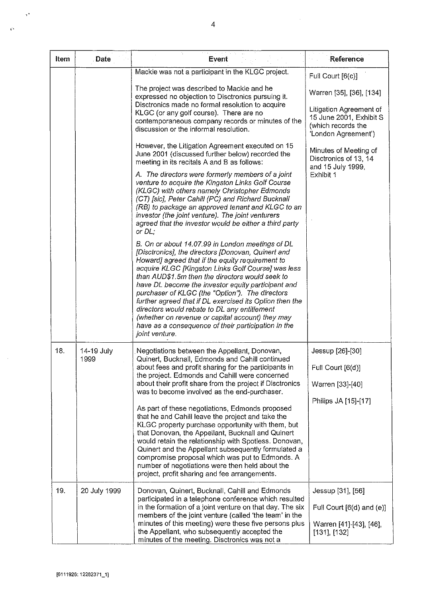| Item | Date               | Event                                                                                                                                                                                                                                                                                                                                                                                                                                                                                                                                                                                                                                                                                                                                                                                                                                                                                                                                                                                                                                                                                                                                                                                                                                                                                                                                                                                                                                                                                                                             | Reference                                                                                                                                                                                                                            |
|------|--------------------|-----------------------------------------------------------------------------------------------------------------------------------------------------------------------------------------------------------------------------------------------------------------------------------------------------------------------------------------------------------------------------------------------------------------------------------------------------------------------------------------------------------------------------------------------------------------------------------------------------------------------------------------------------------------------------------------------------------------------------------------------------------------------------------------------------------------------------------------------------------------------------------------------------------------------------------------------------------------------------------------------------------------------------------------------------------------------------------------------------------------------------------------------------------------------------------------------------------------------------------------------------------------------------------------------------------------------------------------------------------------------------------------------------------------------------------------------------------------------------------------------------------------------------------|--------------------------------------------------------------------------------------------------------------------------------------------------------------------------------------------------------------------------------------|
|      |                    | Mackie was not a participant in the KLGC project.<br>The project was described to Mackie and he<br>expressed no objection to Disctronics pursuing it.<br>Disctronics made no formal resolution to acquire<br>KLGC (or any golf course). There are no<br>contemporaneous company records or minutes of the<br>discussion or the informal resolution.<br>However, the Litigation Agreement executed on 15<br>June 2001 (discussed further below) recorded the<br>meeting in its recitals A and B as follows:<br>A. The directors were formerly members of a joint<br>venture to acquire the Kingston Links Golf Course<br>(KLGC) with others namely Christopher Edmonds<br>(CT) [sic], Peter Cahill (PC) and Richard Bucknall<br>(RB) to package an approved tenant and KLGC to an<br>investor (the joint venture). The joint venturers<br>agreed that the investor would be either a third party<br>or DL;<br>B. On or about 14.07.99 in London meetings of DL<br>[Disctronics], the directors [Donovan, Quinert and<br>Howard] agreed that if the equity requirement to<br>acquire KLGC [Kingston Links Golf Course] was less<br>than AUD\$1.5m then the directors would seek to<br>have DL become the investor equity participant and<br>purchaser of KLGC (the "Option"). The directors<br>further agreed that if DL exercised its Option then the<br>directors would rebate to DL any entitlement<br>(whether on revenue or capital account) they may<br>have as a consequence of their participation in the<br>joint venture. | Full Court [6(c)]<br>Warren [35], [36], [134]<br>Litigation Agreement of<br>15 June 2001, Exhibit S<br>(which records the<br>'London Agreement')<br>Minutes of Meeting of<br>Disctronics of 13, 14<br>and 15 July 1999,<br>Exhibit 1 |
| 18.  | 14-19 July<br>1999 | Negotiations between the Appellant, Donovan,<br>Quinert, Bucknall, Edmonds and Cahill continued<br>about fees and profit sharing for the participants in<br>the project. Edmonds and Cahill were concerned<br>about their profit share from the project if Disctronics<br>was to become involved as the end-purchaser.<br>As part of these negotiations, Edmonds proposed<br>that he and Cahill leave the project and take the<br>KLGC property purchase opportunity with them, but<br>that Donovan, the Appellant, Bucknall and Quinert<br>would retain the relationship with Spotless. Donovan,<br>Quinert and the Appellant subsequently formulated a<br>compromise proposal which was put to Edmonds. A<br>number of negotiations were then held about the<br>project, profit sharing and fee arrangements.                                                                                                                                                                                                                                                                                                                                                                                                                                                                                                                                                                                                                                                                                                                   | Jessup [26]-[30]<br>Full Court [6(d)]<br>Warren [33]-[40]<br>Philips JA [15]-[17]                                                                                                                                                    |
| 19.  | 20 July 1999       | Donovan, Quinert, Bucknall, Cahill and Edmonds<br>participated in a telephone conference which resulted<br>in the formation of a joint venture on that day. The six<br>members of the joint venture (called 'the team' in the<br>minutes of this meeting) were these five persons plus<br>the Appellant, who subsequently accepted the<br>minutes of the meeting. Disctronics was not a                                                                                                                                                                                                                                                                                                                                                                                                                                                                                                                                                                                                                                                                                                                                                                                                                                                                                                                                                                                                                                                                                                                                           | Jessup [31], [56]<br>Full Court $[6(d)$ and $(e)]$<br>Warren [41]-[43], [46],<br>$[131]$ , $[132]$                                                                                                                                   |

 $\bar{z}$ 

 $\mathcal{A}^{\bullet}$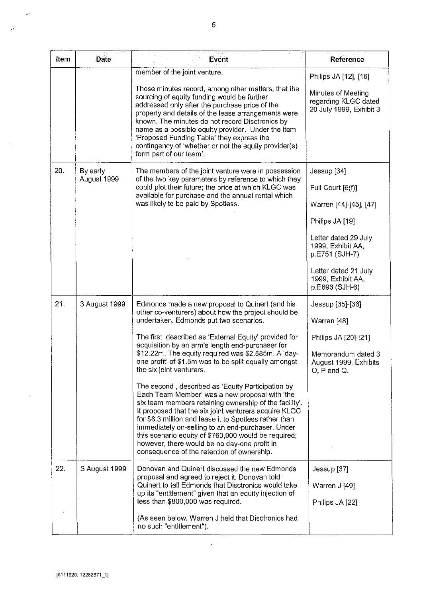| Item | <b>Date</b>             | Event                                                                                                                                                                                                                                                                                                                                                                                                                                                                                       | Reference                                                             |
|------|-------------------------|---------------------------------------------------------------------------------------------------------------------------------------------------------------------------------------------------------------------------------------------------------------------------------------------------------------------------------------------------------------------------------------------------------------------------------------------------------------------------------------------|-----------------------------------------------------------------------|
|      |                         | member of the joint venture.                                                                                                                                                                                                                                                                                                                                                                                                                                                                | Philips JA [12], [16]                                                 |
|      |                         | Those minutes record, among other matters, that the<br>sourcing of equity funding would be further<br>addressed only after the purchase price of the<br>property and details of the lease arrangements were<br>known. The minutes do not record Disctronics by<br>name as a possible equity provider. Under the item<br>'Proposed Funding Table' they express the<br>contingency of 'whether or not the equity provider(s)<br>form part of our team'.                                       | Minutes of Meeting<br>regarding KLGC dated<br>20 July 1999, Exhibit 3 |
| 20.  | By early<br>August 1999 | The members of the joint venture were in possession<br>of the two key parameters by reference to which they                                                                                                                                                                                                                                                                                                                                                                                 | Jessup [34]                                                           |
|      |                         | could plot their future; the price at which KLGC was<br>available for purchase and the annual rental which                                                                                                                                                                                                                                                                                                                                                                                  | Full Court [6(f)]                                                     |
|      |                         | was likely to be paid by Spotless.                                                                                                                                                                                                                                                                                                                                                                                                                                                          | Warren [44]-[45], [47]                                                |
|      |                         |                                                                                                                                                                                                                                                                                                                                                                                                                                                                                             | Philips JA [19]                                                       |
|      |                         |                                                                                                                                                                                                                                                                                                                                                                                                                                                                                             | Letter dated 29 July<br>1999, Exhibit AA,<br>p.E751 (SJH-7)           |
|      |                         |                                                                                                                                                                                                                                                                                                                                                                                                                                                                                             | Letter dated 21 July<br>1999, Exhibit AA,<br>p.E696 (SJH-6)           |
| 21.  | 3 August 1999           | Edmonds made a new proposal to Quinert (and his                                                                                                                                                                                                                                                                                                                                                                                                                                             | Jessup [35]-[36]                                                      |
|      |                         | other co-venturers) about how the project should be<br>undertaken. Edmonds put two scenarios.                                                                                                                                                                                                                                                                                                                                                                                               | Warren [48]                                                           |
|      |                         | The first, described as 'External Equity' provided for<br>acquisition by an arm's length end-purchaser for                                                                                                                                                                                                                                                                                                                                                                                  | Philips JA [20]-[21]                                                  |
|      |                         | \$12.22m. The equity required was \$2.585m. A 'day-<br>one profit' of \$1.5m was to be split equally amongst<br>the six joint venturers.                                                                                                                                                                                                                                                                                                                                                    | Memorandum dated 3<br>August 1999, Exhibits<br>$O, P$ and $Q.$        |
|      |                         | The second, described as 'Equity Participation by<br>Each Team Member' was a new proposal with 'the<br>six team members retaining ownership of the facility'.<br>It proposed that the six joint venturers acquire KLGC<br>for \$8.3 million and lease it to Spotless rather than<br>immediately on-selling to an end-purchaser. Under<br>this scenario equity of \$760,000 would be required;<br>however, there would be no day-one profit in<br>consequence of the retention of ownership. |                                                                       |
| 22.  | 3 August 1999           | Donovan and Quinert discussed the new Edmonds<br>proposal and agreed to reject it. Donovan told                                                                                                                                                                                                                                                                                                                                                                                             | Jessup [37]                                                           |
|      |                         | Quinert to tell Edmonds that Disctronics would take<br>up its "entitlement" given that an equity injection of                                                                                                                                                                                                                                                                                                                                                                               | Warren J [49]                                                         |
|      |                         | less than \$800,000 was required.                                                                                                                                                                                                                                                                                                                                                                                                                                                           | Philips JA [22]                                                       |
|      |                         | (As seen below, Warren J held that Disctronics had<br>no such "entitlement").                                                                                                                                                                                                                                                                                                                                                                                                               |                                                                       |

 $\hat{\boldsymbol{\epsilon}}$ 

,,

 $\hat{\mathcal{A}}$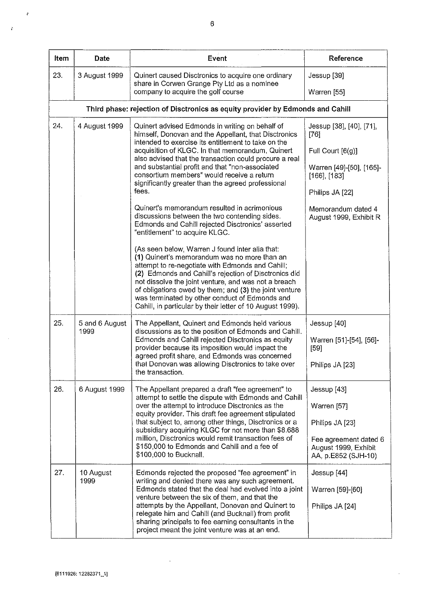| <b>Item</b> | Date                   | Event                                                                                                                                                                                                                                                                                                                                                                                                                                                                    | Reference                                                                                                                   |
|-------------|------------------------|--------------------------------------------------------------------------------------------------------------------------------------------------------------------------------------------------------------------------------------------------------------------------------------------------------------------------------------------------------------------------------------------------------------------------------------------------------------------------|-----------------------------------------------------------------------------------------------------------------------------|
| 23.         | 3 August 1999          | Quinert caused Disctronics to acquire one ordinary<br>share in Corwen Grange Pty Ltd as a nominee                                                                                                                                                                                                                                                                                                                                                                        | Jessup [39]                                                                                                                 |
|             |                        | company to acquire the golf course                                                                                                                                                                                                                                                                                                                                                                                                                                       | Warren [55]                                                                                                                 |
|             |                        | Third phase: rejection of Disctronics as equity provider by Edmonds and Cahill                                                                                                                                                                                                                                                                                                                                                                                           |                                                                                                                             |
| 24.         | 4 August 1999          | Quinert advised Edmonds in writing on behalf of<br>himself, Donovan and the Appellant, that Disctronics<br>intended to exercise its entitlement to take on the<br>acquisition of KLGC. In that memorandum, Quinert<br>also advised that the transaction could procure a real<br>and substantial profit and that "non-associated<br>consortium members" would receive a return<br>significantly greater than the agreed professional<br>fees.                             | Jessup [38], [40], [71],<br>$[76]$<br>Full Court [6(g)]<br>Warren [49]-[50], [165]-<br>$[166]$ , $[183]$<br>Philips JA [22] |
|             |                        | Quinert's memorandum resulted in acrimonious<br>discussions between the two contending sides.<br>Edmonds and Cahill rejected Disctronics' asserted<br>"entitlement" to acquire KLGC.                                                                                                                                                                                                                                                                                     | Memorandum dated 4<br>August 1999, Exhibit R                                                                                |
|             |                        | (As seen below, Warren J found inter alia that:<br>(1) Quinert's memorandum was no more than an<br>attempt to re-negotiate with Edmonds and Cahill;<br>(2) Edmonds and Cahill's rejection of Disctronics did<br>not dissolve the joint venture, and was not a breach<br>of obligations owed by them; and (3) the joint venture<br>was terminated by other conduct of Edmonds and<br>Cahill, in particular by their letter of 10 August 1999).                            |                                                                                                                             |
| 25.         | 5 and 6 August<br>1999 | The Appellant, Quinert and Edmonds held various<br>discussions as to the position of Edmonds and Cahill.<br>Edmonds and Cahill rejected Disctronics as equity<br>provider because its imposition would impact the<br>agreed profit share, and Edmonds was concerned<br>that Donovan was allowing Disctronics to take over<br>the transaction.                                                                                                                            | Jessup [40]<br>Warren [51]-[54], [56]-<br>$[59]$<br>Philips JA [23]                                                         |
| 26.         | 6 August 1999          | The Appellant prepared a draft "fee agreement" to<br>attempt to settle the dispute with Edmonds and Cahill<br>over the attempt to introduce Disctronics as the<br>equity provider. This draft fee agreement stipulated<br>that subject to, among other things, Disctronics or a<br>subsidiary acquiring KLGC for not more than \$8.688<br>million, Disctronics would remit transaction fees of<br>\$150,000 to Edmonds and Cahill and a fee of<br>\$100,000 to Bucknall. | Jessup [43]<br>Warren [57]<br>Philips JA [23]<br>Fee agreement dated 6<br>August 1999, Exhibit<br>AA, p.E852 (SJH-10)       |
| 27.         | 10 August<br>1999      | Edmonds rejected the proposed "fee agreement" in<br>writing and denied there was any such agreement.<br>Edmonds stated that the deal had evolved into a joint<br>venture between the six of them, and that the<br>attempts by the Appellant, Donovan and Quinert to<br>relegate him and Cahill (and Bucknall) from profit<br>sharing principals to fee earning consultants in the<br>project meant the joint venture was at an end.                                      | Jessup [44]<br>Warren [59]-[60]<br>Philips JA [24]                                                                          |

 $\bar{\beta}$ 

 $\ddot{\phantom{0}}$ 

 $\ddot{\phi}$ 

 $\mathbf{r}$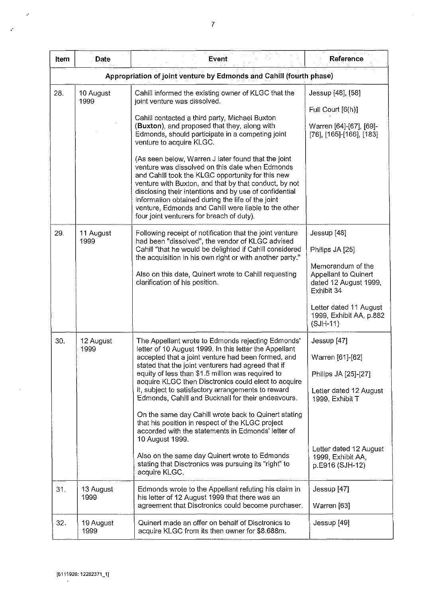| Item | Date              | Event                                                                                                                                                                                                                                                                                                                                                                                                                                                                                                                                                                                                                                                                                                                                                           | Reference                                                                                                                                                                             |
|------|-------------------|-----------------------------------------------------------------------------------------------------------------------------------------------------------------------------------------------------------------------------------------------------------------------------------------------------------------------------------------------------------------------------------------------------------------------------------------------------------------------------------------------------------------------------------------------------------------------------------------------------------------------------------------------------------------------------------------------------------------------------------------------------------------|---------------------------------------------------------------------------------------------------------------------------------------------------------------------------------------|
|      |                   | Appropriation of joint venture by Edmonds and Cahill (fourth phase)                                                                                                                                                                                                                                                                                                                                                                                                                                                                                                                                                                                                                                                                                             |                                                                                                                                                                                       |
| 28.  | 10 August<br>1999 | Cahill informed the existing owner of KLGC that the<br>joint venture was dissolved.<br>Cahill contacted a third party, Michael Buxton<br>(Buxton), and proposed that they, along with<br>Edmonds, should participate in a competing joint<br>venture to acquire KLGC.<br>(As seen below, Warren J later found that the joint<br>venture was dissolved on this date when Edmonds<br>and Cahill took the KLGC opportunity for this new<br>venture with Buxton, and that by that conduct, by not<br>disclosing their intentions and by use of confidential<br>information obtained during the life of the joint<br>venture, Edmonds and Cahill were liable to the other<br>four joint venturers for breach of duty).                                               | Jessup [48], [58]<br>Full Court [6(h)]<br>Warren [64]-[67], [69]-<br>$[76]$ , $[165]$ - $[166]$ , $[183]$                                                                             |
| 29.  | 11 August<br>1999 | Following receipt of notification that the joint venture<br>had been "dissolved", the vendor of KLGC advised<br>Cahill "that he would be delighted if Cahill considered<br>the acquisition in his own right or with another party."<br>Also on this date, Quinert wrote to Cahill requesting<br>clarification of his position.                                                                                                                                                                                                                                                                                                                                                                                                                                  | Jessup [48]<br>Philips JA [25]<br>Memorandum of the<br>Appellant to Quinert<br>dated 12 August 1999,<br>Exhibit 34<br>Letter dated 11 August<br>1999, Exhibit AA, p.882<br>$(SJH-11)$ |
| 30.  | 12 August<br>1999 | The Appellant wrote to Edmonds rejecting Edmonds'<br>letter of 10 August 1999. In this letter the Appellant<br>accepted that a joint venture had been formed, and<br>stated that the joint venturers had agreed that if<br>equity of less than \$1.5 million was required to<br>acquire KLGC then Disctronics could elect to acquire<br>it, subject to satisfactory arrangements to reward<br>Edmonds, Cahill and Bucknall for their endeavours.<br>On the same day Cahill wrote back to Quinert stating<br>that his position in respect of the KLGC project<br>accorded with the statements in Edmonds' letter of<br>10 August 1999.<br>Also on the same day Quinert wrote to Edmonds<br>stating that Disctronics was pursuing its "right" to<br>acquire KLGC. | Jessup [47]<br>Warren [61]-[62]<br>Philips JA [25]-[27]<br>Letter dated 12 August<br>1999, Exhibit T<br>Letter dated 12 August<br>1999, Exhibit AA,<br>p.E916 (SJH-12)                |
| 31.  | 13 August<br>1999 | Edmonds wrote to the Appellant refuting his claim in<br>his letter of 12 August 1999 that there was an<br>agreement that Disctronics could become purchaser.                                                                                                                                                                                                                                                                                                                                                                                                                                                                                                                                                                                                    | Jessup [47]<br>Warren [63]                                                                                                                                                            |
| 32.  | 19 August<br>1999 | Quinert made an offer on behalf of Disctronics to<br>acquire KLGC from its then owner for \$8.688m.                                                                                                                                                                                                                                                                                                                                                                                                                                                                                                                                                                                                                                                             | Jessup [49]                                                                                                                                                                           |

 $\sim 10$ 

 $\hat{\psi}$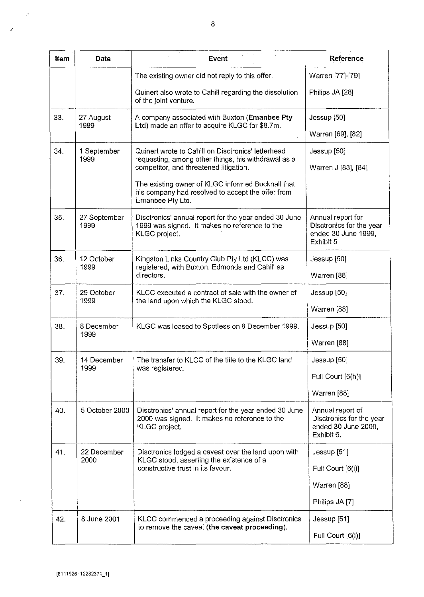| Item | <b>Date</b>          | Event                                                                                                                      | Reference                                                                         |
|------|----------------------|----------------------------------------------------------------------------------------------------------------------------|-----------------------------------------------------------------------------------|
|      |                      | The existing owner did not reply to this offer.                                                                            | Warren [77]-[79]                                                                  |
|      |                      | Quinert also wrote to Cahill regarding the dissolution<br>of the joint venture.                                            | Philips JA [28]                                                                   |
| 33.  | 27 August<br>1999    | A company associated with Buxton (Emanbee Pty<br>Ltd) made an offer to acquire KLGC for \$8.7m.                            | Jessup [50]                                                                       |
|      |                      |                                                                                                                            | Warren [69], [82]                                                                 |
| 34.  | 1 September<br>1999  | Quinert wrote to Cahill on Disctronics' letterhead                                                                         | Jessup [50]                                                                       |
|      |                      | requesting, among other things, his withdrawal as a<br>competitor, and threatened litigation.                              | Warren J [83], [84]                                                               |
|      |                      | The existing owner of KLGC informed Bucknall that<br>his company had resolved to accept the offer from<br>Emanbee Pty Ltd. |                                                                                   |
| 35.  | 27 September<br>1999 | Disctronics' annual report for the year ended 30 June<br>1999 was signed. It makes no reference to the<br>KLGC project.    | Annual report for<br>Disctronics for the year<br>ended 30 June 1999,<br>Exhibit 5 |
| 36.  | 12 October           | Kingston Links Country Club Pty Ltd (KLCC) was                                                                             | Jessup [50]                                                                       |
|      | 1999                 | registered, with Buxton, Edmonds and Cahill as<br>directors.                                                               | Warren [88]                                                                       |
| 37.  | 29 October<br>1999   | KLCC executed a contract of sale with the owner of                                                                         | Jessup [50]                                                                       |
|      |                      | the land upon which the KLGC stood.                                                                                        | Warren [88]                                                                       |
| 38.  | 8 December<br>1999   | KLGC was leased to Spotless on 8 December 1999.                                                                            | Jessup [50]                                                                       |
|      |                      |                                                                                                                            | Warren [88]                                                                       |
| 39.  | 14 December<br>1999  | The transfer to KLCC of the title to the KLGC land<br>was registered.                                                      | Jessup [50]                                                                       |
|      |                      |                                                                                                                            | Full Court [6(h)]                                                                 |
|      |                      |                                                                                                                            | Warren [88]                                                                       |
| 40.  | 5 October 2000       | Disctronics' annual report for the year ended 30 June<br>2000 was signed. It makes no reference to the<br>KLGC project.    | Annual report of<br>Disctronics for the year<br>ended 30 June 2000,<br>Exhibit 6. |
| 41.  | 22 December<br>2000  | Disctronics lodged a caveat over the land upon with<br>KLGC stood, asserting the existence of a                            | Jessup [51]                                                                       |
|      |                      | constructive trust in its favour.                                                                                          | Full Court [6(i)]                                                                 |
|      |                      |                                                                                                                            | Warren [88]                                                                       |
|      |                      |                                                                                                                            | Philips JA [7]                                                                    |
| 42.  | 8 June 2001          | KLCC commenced a proceeding against Disctronics<br>to remove the caveat (the caveat proceeding).                           | Jessup [51]                                                                       |
|      |                      |                                                                                                                            | Full Court [6(i)]                                                                 |

 $\overline{\phantom{a}}$ 

 $\ddot{\phantom{a}}$ 

 $\mathcal{S}$ 

 $\mathcal{L}$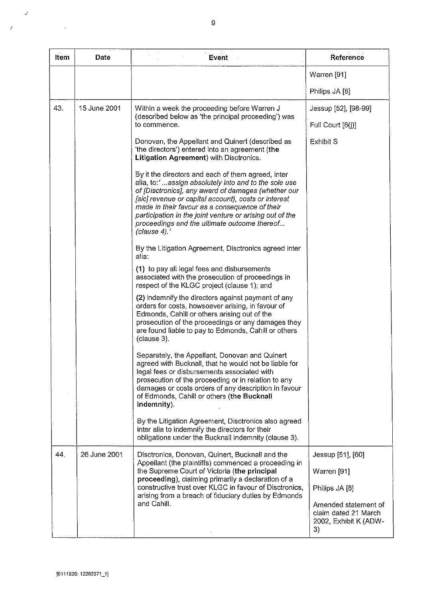| Item | Date         | Event                                                                                                                                                                                                                                                                                                                                                                                                   | Reference                                                                   |
|------|--------------|---------------------------------------------------------------------------------------------------------------------------------------------------------------------------------------------------------------------------------------------------------------------------------------------------------------------------------------------------------------------------------------------------------|-----------------------------------------------------------------------------|
|      |              |                                                                                                                                                                                                                                                                                                                                                                                                         | Warren [91]                                                                 |
|      |              |                                                                                                                                                                                                                                                                                                                                                                                                         | Philips JA [8]                                                              |
| 43.  | 15 June 2001 | Within a week the proceeding before Warren J                                                                                                                                                                                                                                                                                                                                                            | Jessup [52], [98-99]                                                        |
|      |              | (described below as 'the principal proceeding') was<br>to commence.                                                                                                                                                                                                                                                                                                                                     | Full Court [6(j)]                                                           |
|      |              | Donovan, the Appellant and Quinert (described as<br>'the directors') entered into an agreement (the<br>Litigation Agreement) with Disctronics.                                                                                                                                                                                                                                                          | <b>Exhibit S</b>                                                            |
|      |              | By it the directors and each of them agreed, inter<br>alia, to:'assign absolutely into and to the sole use<br>of [Disctronics], any award of damages (whether our<br>[sic] revenue or capital account), costs or interest<br>made in their favour as a consequence of their<br>participation in the joint venture or arising out of the<br>proceedings and the ultimate outcome thereof<br>(clause 4).' |                                                                             |
|      |              | By the Litigation Agreement, Disctronics agreed inter<br>alia:                                                                                                                                                                                                                                                                                                                                          |                                                                             |
|      |              | (1) to pay all legal fees and disbursements<br>associated with the prosecution of proceedings in<br>respect of the KLGC project (clause 1); and                                                                                                                                                                                                                                                         |                                                                             |
|      |              | (2) indemnify the directors against payment of any<br>orders for costs, howsoever arising, in favour of<br>Edmonds, Cahill or others arising out of the<br>prosecution of the proceedings or any damages they<br>are found liable to pay to Edmonds, Cahill or others<br>(clause 3).                                                                                                                    |                                                                             |
|      |              | Separately, the Appellant, Donovan and Quinert<br>agreed with Bucknall, that he would not be liable for<br>legal fees or disbursements associated with<br>prosecution of the proceeding or in relation to any<br>damages or costs orders of any description in favour<br>of Edmonds, Cahill or others (the Bucknall<br>indemnity).                                                                      |                                                                             |
|      |              | By the Litigation Agreement, Disctronics also agreed<br>inter alia to indemnify the directors for their<br>obligations under the Bucknall indemnity (clause 3).                                                                                                                                                                                                                                         |                                                                             |
| 44.  | 26 June 2001 | Disctronics, Donovan, Quinert, Bucknall and the<br>Appellant (the plaintiffs) commenced a proceeding in                                                                                                                                                                                                                                                                                                 | Jessup [51], [60]                                                           |
|      |              | the Supreme Court of Victoria (the principal<br>proceeding), claiming primarily a declaration of a<br>constructive trust over KLGC in favour of Disctronics,<br>arising from a breach of fiduciary duties by Edmonds                                                                                                                                                                                    | Warren [91]                                                                 |
|      |              |                                                                                                                                                                                                                                                                                                                                                                                                         | Philips JA [8]                                                              |
|      |              | and Cahill.                                                                                                                                                                                                                                                                                                                                                                                             | Amended statement of<br>claim dated 21 March<br>2002, Exhibit K (ADW-<br>3) |

 $\label{eq:1} \frac{1}{\sqrt{2}}\sum_{i=1}^N\frac{1}{\sqrt{2}}\sum_{i=1}^N\frac{1}{\sqrt{2}}\sum_{i=1}^N\frac{1}{\sqrt{2}}\sum_{i=1}^N\frac{1}{\sqrt{2}}\sum_{i=1}^N\frac{1}{\sqrt{2}}\sum_{i=1}^N\frac{1}{\sqrt{2}}\sum_{i=1}^N\frac{1}{\sqrt{2}}\sum_{i=1}^N\frac{1}{\sqrt{2}}\sum_{i=1}^N\frac{1}{\sqrt{2}}\sum_{i=1}^N\frac{1}{\sqrt{2}}\sum_{i=1}^N\frac{1$ 

 $\label{eq:2.1} \mathcal{L}(\mathcal{L}^{\text{max}}_{\text{max}}(\mathcal{L}^{\text{max}}_{\text{max}}(\mathcal{L}^{\text{max}}_{\text{max}}(\mathcal{L}^{\text{max}}_{\text{max}})))$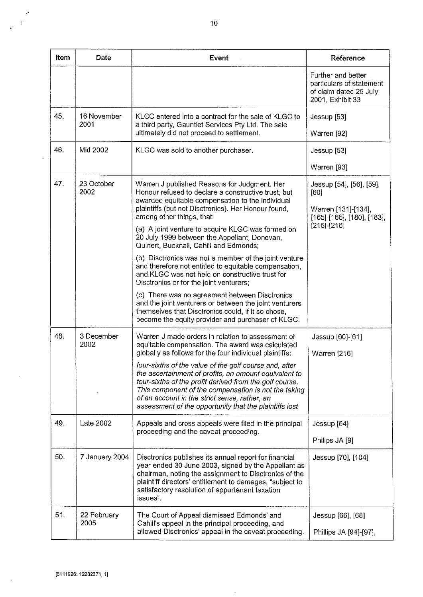| Item | <b>Date</b>         | Event                                                                                                                                                                                                                                                                                                                                                                                      | Reference                                                                                                  |
|------|---------------------|--------------------------------------------------------------------------------------------------------------------------------------------------------------------------------------------------------------------------------------------------------------------------------------------------------------------------------------------------------------------------------------------|------------------------------------------------------------------------------------------------------------|
|      |                     |                                                                                                                                                                                                                                                                                                                                                                                            | Further and better<br>particulars of statement<br>of claim dated 25 July<br>2001, Exhibit 33               |
| 45.  | 16 November<br>2001 | KLCC entered into a contract for the sale of KLGC to<br>a third party, Gauntlet Services Pty Ltd. The sale<br>ultimately did not proceed to settlement.                                                                                                                                                                                                                                    | Jessup [53]<br>Warren [92]                                                                                 |
| 46.  | Mid 2002            | KLGC was sold to another purchaser.                                                                                                                                                                                                                                                                                                                                                        | Jessup [53]                                                                                                |
|      |                     |                                                                                                                                                                                                                                                                                                                                                                                            | Warren [93]                                                                                                |
| 47.  | 23 October<br>2002  | Warren J published Reasons for Judgment. Her<br>Honour refused to declare a constructive trust, but<br>awarded equitable compensation to the individual<br>plaintiffs (but not Disctronics). Her Honour found,<br>among other things, that:<br>(a) A joint venture to acquire KLGC was formed on<br>20 July 1999 between the Appellant, Donovan,<br>Quinert, Bucknall, Cahill and Edmonds; | Jessup [54], [56], [59],<br>[60]<br>Warren [131]-[134],<br>[165]-[166], [180], [183],<br>$[215]$ - $[216]$ |
|      |                     | (b) Disctronics was not a member of the joint venture<br>and therefore not entitled to equitable compensation,<br>and KLGC was not held on constructive trust for<br>Disctronics or for the joint venturers;                                                                                                                                                                               |                                                                                                            |
|      |                     | (c) There was no agreement between Disctronics<br>and the joint venturers or between the joint venturers<br>themselves that Disctronics could, if it so chose,<br>become the equity provider and purchaser of KLGC.                                                                                                                                                                        |                                                                                                            |
| 48.  | 3 December<br>2002  | Warren J made orders in relation to assessment of<br>equitable compensation. The award was calculated<br>globally as follows for the four individual plaintiffs:                                                                                                                                                                                                                           | Jessup [60]-[61]<br>Warren [216]                                                                           |
|      |                     | four-sixths of the value of the golf course and, after<br>the ascertainment of profits, an amount equivalent to<br>four-sixths of the profit derived from the golf course.<br>This component of the compensation is not the taking<br>of an account in the strict sense, rather, an<br>assessment of the opportunity that the plaintiffs lost                                              |                                                                                                            |
| 49.  | Late 2002           | Appeals and cross appeals were filed in the principal<br>proceeding and the caveat proceeding.                                                                                                                                                                                                                                                                                             | Jessup [64]<br>Philips JA [9]                                                                              |
| 50.  | 7 January 2004      | Disctronics publishes its annual report for financial<br>year ended 30 June 2003, signed by the Appellant as<br>chairman, noting the assignment to Disctronics of the<br>plaintiff directors' entitlement to damages, "subject to<br>satisfactory resolution of appurtenant taxation<br>issues".                                                                                           | Jessup [70], [104]                                                                                         |
| 51.  | 22 February<br>2005 | The Court of Appeal dismissed Edmonds' and<br>Cahill's appeal in the principal proceeding, and<br>allowed Disctronics' appeal in the caveat proceeding.                                                                                                                                                                                                                                    | Jessup [66], [68]<br>Phillips JA [94]-[97],                                                                |

 $\hat{\boldsymbol{\beta}}$ 

,'

 $\frac{1}{\sqrt{2}}$ 

 $\sim$ 

 $\mathcal{A}$ 

 $\mathcal{A}^{\mathcal{I}}$  $\tau^*$